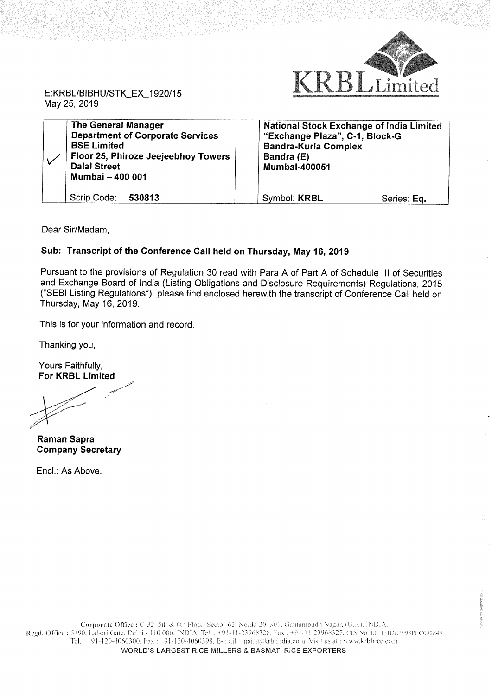

E:KRBL/BlBHU/STK\_EX\_1920/15 May 25, 2019

| <b>The General Manager</b><br><b>Department of Corporate Services</b><br><b>BSE Limited</b><br>Floor 25, Phiroze Jeejeebhoy Towers<br><b>Dalal Street</b><br>Mumbai - 400 001 | <b>National Stock Exchange of India Limited</b><br>"Exchange Plaza", C-1, Block-G<br><b>Bandra-Kurla Complex</b><br>Bandra (E)<br><b>Mumbai-400051</b> |
|-------------------------------------------------------------------------------------------------------------------------------------------------------------------------------|--------------------------------------------------------------------------------------------------------------------------------------------------------|
| Scrip Code:<br>530813                                                                                                                                                         | Symbol: KRBL<br>Series: Eq.                                                                                                                            |

Dear Sir/Madam,

## Sub: Transcript of the Conference Call held on Thursday, May 16, 2019

Pursuant to the provisions of Regulation 30 read with Para A of Part A of Schedule III of Securities and Exchange Board of India (Listing Obligations and Disclosure Requirements) Regulations, 2015 ("SEBI Listing Regulations"), please find enclosed herewith the transcript of Conference Call held on Thursday, May 16, 2019.

This is for your information and record.

Thanking you,

Yours Faithfully, For KRBL Limited

|<br>|}

Raman Sapra Company Secretary

Encl.: As Above.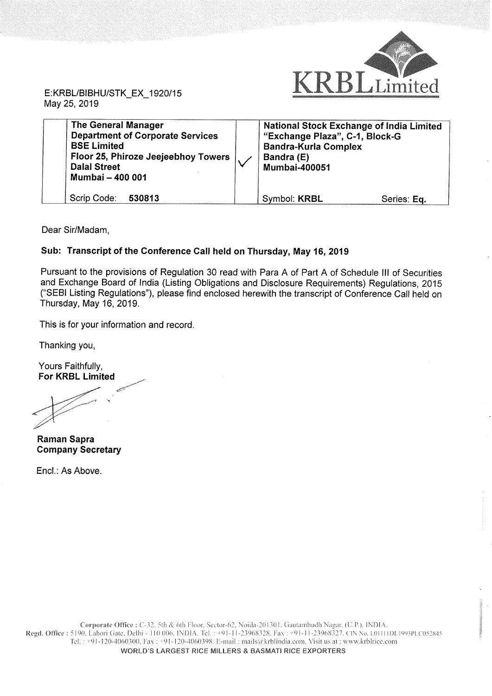

May 25, 2019

| <b>The General Manager</b><br><b>Department of Corporate Services</b><br><b>BSE Limited</b><br>Floor 25, Phiroze Jeejeebhoy Towers  <br><b>Dalal Street</b><br>Mumbai - 400 001 | <b>National Stock Exchange of India Limited</b><br>"Exchange Plaza", C-1, Block-G<br><b>Bandra-Kurla Complex</b><br>Bandra (E)<br><b>Mumbai-400051</b> |             |
|---------------------------------------------------------------------------------------------------------------------------------------------------------------------------------|--------------------------------------------------------------------------------------------------------------------------------------------------------|-------------|
| Scrip Code:<br>530813                                                                                                                                                           | Symbol: KRBL                                                                                                                                           | Series: Eq. |

Dear Sir/Madam,

## Sub: Transcript of the Conference Call held on Thursday, May 16, 2019

Pursuant to the provisions of Regulation 30 read with Para A of Part A of Schedule III of Securities and Exchange Board of India (Listing Obligations and Disclosure Requirements) Regulations, 2015 ("SEBI Listing Regulations"), please find enclosed herewith the transcript of Conference Call held on Thursday, May 16, 2019.

This is for your information and record.

Thanking you,

Yours Faithfully, For KRBL Limited

Raman Sapra Company Secretary

Encl.: As Above.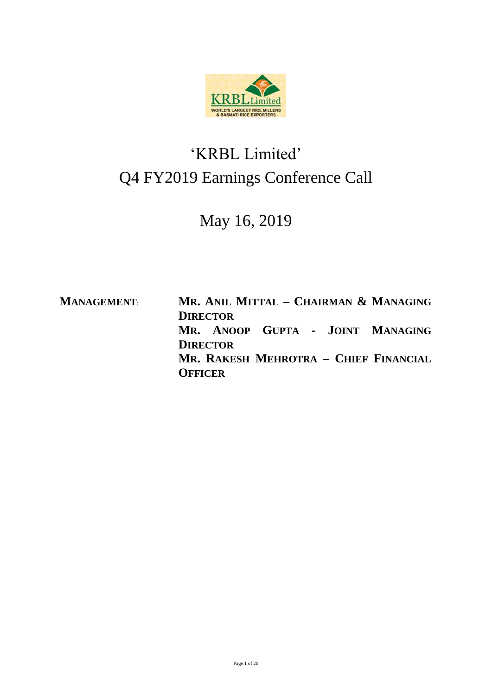

## 'KRBL Limited' Q4 FY2019 Earnings Conference Call

## May 16, 2019

**MANAGEMENT**: **MR. ANIL MITTAL – CHAIRMAN & MANAGING DIRECTOR MR. ANOOP GUPTA - JOINT MANAGING DIRECTOR MR. RAKESH MEHROTRA – CHIEF FINANCIAL OFFICER**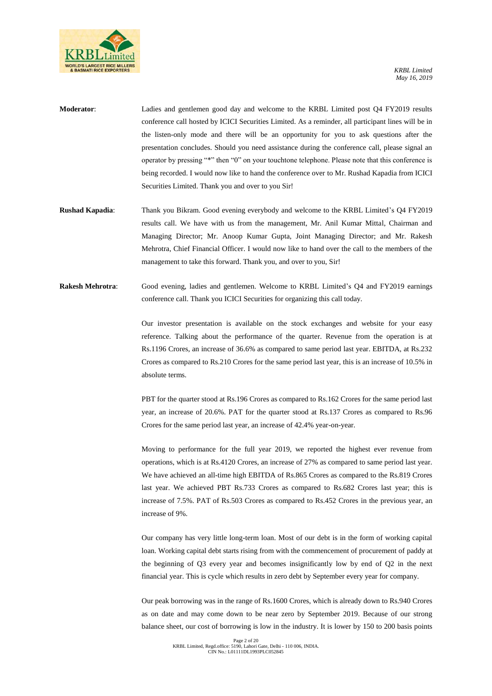

- **Moderator**: Ladies and gentlemen good day and welcome to the KRBL Limited post Q4 FY2019 results conference call hosted by ICICI Securities Limited. As a reminder, all participant lines will be in the listen-only mode and there will be an opportunity for you to ask questions after the presentation concludes. Should you need assistance during the conference call, please signal an operator by pressing "\*" then "0" on your touchtone telephone. Please note that this conference is being recorded. I would now like to hand the conference over to Mr. Rushad Kapadia from ICICI Securities Limited. Thank you and over to you Sir!
- **Rushad Kapadia**: Thank you Bikram. Good evening everybody and welcome to the KRBL Limited's Q4 FY2019 results call. We have with us from the management, Mr. Anil Kumar Mittal, Chairman and Managing Director; Mr. Anoop Kumar Gupta, Joint Managing Director; and Mr. Rakesh Mehrotra, Chief Financial Officer. I would now like to hand over the call to the members of the management to take this forward. Thank you, and over to you, Sir!
- **Rakesh Mehrotra**: Good evening, ladies and gentlemen. Welcome to KRBL Limited's Q4 and FY2019 earnings conference call. Thank you ICICI Securities for organizing this call today.

Our investor presentation is available on the stock exchanges and website for your easy reference. Talking about the performance of the quarter. Revenue from the operation is at Rs.1196 Crores, an increase of 36.6% as compared to same period last year. EBITDA, at Rs.232 Crores as compared to Rs.210 Crores for the same period last year, this is an increase of 10.5% in absolute terms.

PBT for the quarter stood at Rs.196 Crores as compared to Rs.162 Crores for the same period last year, an increase of 20.6%. PAT for the quarter stood at Rs.137 Crores as compared to Rs.96 Crores for the same period last year, an increase of 42.4% year-on-year.

Moving to performance for the full year 2019, we reported the highest ever revenue from operations, which is at Rs.4120 Crores, an increase of 27% as compared to same period last year. We have achieved an all-time high EBITDA of Rs.865 Crores as compared to the Rs.819 Crores last year. We achieved PBT Rs.733 Crores as compared to Rs.682 Crores last year; this is increase of 7.5%. PAT of Rs.503 Crores as compared to Rs.452 Crores in the previous year, an increase of 9%.

Our company has very little long-term loan. Most of our debt is in the form of working capital loan. Working capital debt starts rising from with the commencement of procurement of paddy at the beginning of Q3 every year and becomes insignificantly low by end of Q2 in the next financial year. This is cycle which results in zero debt by September every year for company.

Our peak borrowing was in the range of Rs.1600 Crores, which is already down to Rs.940 Crores as on date and may come down to be near zero by September 2019. Because of our strong balance sheet, our cost of borrowing is low in the industry. It is lower by 150 to 200 basis points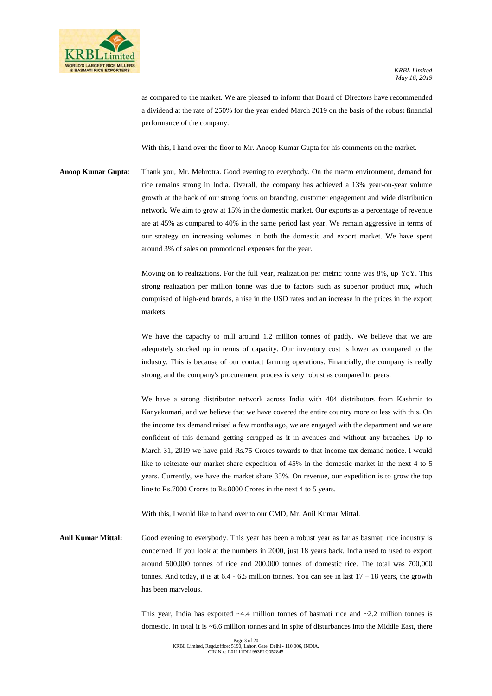

as compared to the market. We are pleased to inform that Board of Directors have recommended a dividend at the rate of 250% for the year ended March 2019 on the basis of the robust financial performance of the company.

With this, I hand over the floor to Mr. Anoop Kumar Gupta for his comments on the market.

**Anoop Kumar Gupta**: Thank you, Mr. Mehrotra. Good evening to everybody. On the macro environment, demand for rice remains strong in India. Overall, the company has achieved a 13% year-on-year volume growth at the back of our strong focus on branding, customer engagement and wide distribution network. We aim to grow at 15% in the domestic market. Our exports as a percentage of revenue are at 45% as compared to 40% in the same period last year. We remain aggressive in terms of our strategy on increasing volumes in both the domestic and export market. We have spent around 3% of sales on promotional expenses for the year.

> Moving on to realizations. For the full year, realization per metric tonne was 8%, up YoY. This strong realization per million tonne was due to factors such as superior product mix, which comprised of high-end brands, a rise in the USD rates and an increase in the prices in the export markets.

> We have the capacity to mill around 1.2 million tonnes of paddy. We believe that we are adequately stocked up in terms of capacity. Our inventory cost is lower as compared to the industry. This is because of our contact farming operations. Financially, the company is really strong, and the company's procurement process is very robust as compared to peers.

> We have a strong distributor network across India with 484 distributors from Kashmir to Kanyakumari, and we believe that we have covered the entire country more or less with this. On the income tax demand raised a few months ago, we are engaged with the department and we are confident of this demand getting scrapped as it in avenues and without any breaches. Up to March 31, 2019 we have paid Rs.75 Crores towards to that income tax demand notice. I would like to reiterate our market share expedition of 45% in the domestic market in the next 4 to 5 years. Currently, we have the market share 35%. On revenue, our expedition is to grow the top line to Rs.7000 Crores to Rs.8000 Crores in the next 4 to 5 years.

With this, I would like to hand over to our CMD, Mr. Anil Kumar Mittal.

**Anil Kumar Mittal:** Good evening to everybody. This year has been a robust year as far as basmati rice industry is concerned. If you look at the numbers in 2000, just 18 years back, India used to used to export around 500,000 tonnes of rice and 200,000 tonnes of domestic rice. The total was 700,000 tonnes. And today, it is at  $6.4 - 6.5$  million tonnes. You can see in last  $17 - 18$  years, the growth has been marvelous.

> This year, India has exported  $\sim$  4.4 million tonnes of basmati rice and  $\sim$  2.2 million tonnes is domestic. In total it is ~6.6 million tonnes and in spite of disturbances into the Middle East, there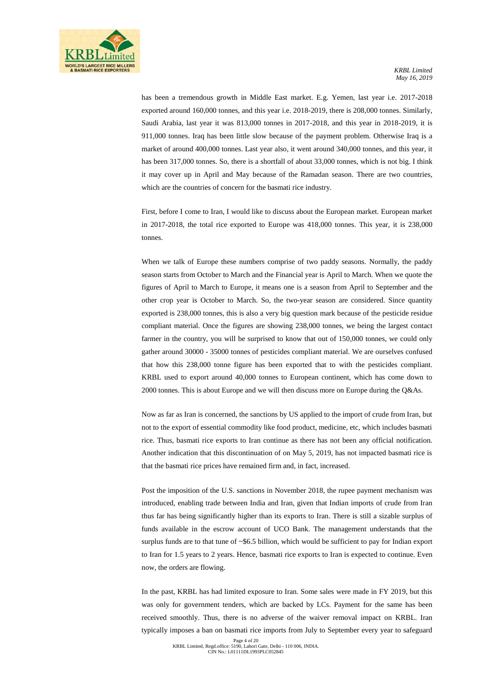has been a tremendous growth in Middle East market. E.g. Yemen, last year i.e. 2017-2018 exported around 160,000 tonnes, and this year i.e. 2018-2019, there is 208,000 tonnes. Similarly, Saudi Arabia, last year it was 813,000 tonnes in 2017-2018, and this year in 2018-2019, it is 911,000 tonnes. Iraq has been little slow because of the payment problem. Otherwise Iraq is a market of around 400,000 tonnes. Last year also, it went around 340,000 tonnes, and this year, it has been 317,000 tonnes. So, there is a shortfall of about 33,000 tonnes, which is not big. I think it may cover up in April and May because of the Ramadan season. There are two countries, which are the countries of concern for the basmati rice industry.

First, before I come to Iran, I would like to discuss about the European market. European market in 2017-2018, the total rice exported to Europe was 418,000 tonnes. This year, it is 238,000 tonnes.

When we talk of Europe these numbers comprise of two paddy seasons. Normally, the paddy season starts from October to March and the Financial year is April to March. When we quote the figures of April to March to Europe, it means one is a season from April to September and the other crop year is October to March. So, the two-year season are considered. Since quantity exported is 238,000 tonnes, this is also a very big question mark because of the pesticide residue compliant material. Once the figures are showing 238,000 tonnes, we being the largest contact farmer in the country, you will be surprised to know that out of 150,000 tonnes, we could only gather around 30000 - 35000 tonnes of pesticides compliant material. We are ourselves confused that how this 238,000 tonne figure has been exported that to with the pesticides compliant. KRBL used to export around 40,000 tonnes to European continent, which has come down to 2000 tonnes. This is about Europe and we will then discuss more on Europe during the Q&As.

Now as far as Iran is concerned, the sanctions by US applied to the import of crude from Iran, but not to the export of essential commodity like food product, medicine, etc, which includes basmati rice. Thus, basmati rice exports to Iran continue as there has not been any official notification. Another indication that this discontinuation of on May 5, 2019, has not impacted basmati rice is that the basmati rice prices have remained firm and, in fact, increased.

Post the imposition of the U.S. sanctions in November 2018, the rupee payment mechanism was introduced, enabling trade between India and Iran, given that Indian imports of crude from Iran thus far has being significantly higher than its exports to Iran. There is still a sizable surplus of funds available in the escrow account of UCO Bank. The management understands that the surplus funds are to that tune of ~\$6.5 billion, which would be sufficient to pay for Indian export to Iran for 1.5 years to 2 years. Hence, basmati rice exports to Iran is expected to continue. Even now, the orders are flowing.

In the past, KRBL has had limited exposure to Iran. Some sales were made in FY 2019, but this was only for government tenders, which are backed by LCs. Payment for the same has been received smoothly. Thus, there is no adverse of the waiver removal impact on KRBL. Iran typically imposes a ban on basmati rice imports from July to September every year to safeguard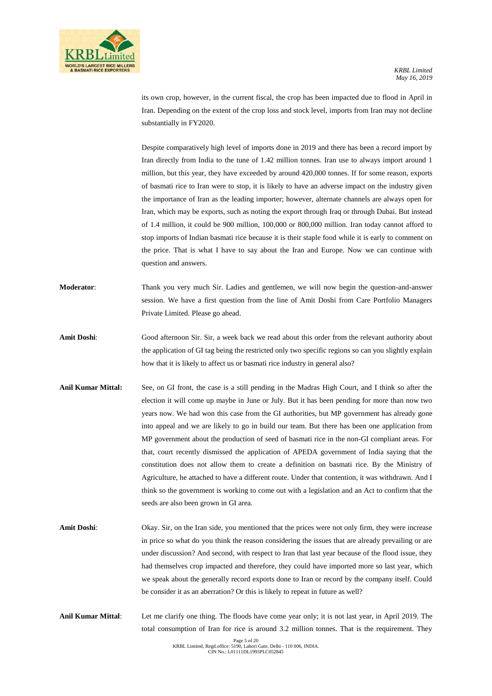

its own crop, however, in the current fiscal, the crop has been impacted due to flood in April in Iran. Depending on the extent of the crop loss and stock level, imports from Iran may not decline substantially in FY2020.

Despite comparatively high level of imports done in 2019 and there has been a record import by Iran directly from India to the tune of 1.42 million tonnes. Iran use to always import around 1 million, but this year, they have exceeded by around 420,000 tonnes. If for some reason, exports of basmati rice to Iran were to stop, it is likely to have an adverse impact on the industry given the importance of Iran as the leading importer; however, alternate channels are always open for Iran, which may be exports, such as noting the export through Iraq or through Dubai. But instead of 1.4 million, it could be 900 million, 100,000 or 800,000 million. Iran today cannot afford to stop imports of Indian basmati rice because it is their staple food while it is early to comment on the price. That is what I have to say about the Iran and Europe. Now we can continue with question and answers.

- **Moderator**: Thank you very much Sir. Ladies and gentlemen, we will now begin the question-and-answer session. We have a first question from the line of Amit Doshi from Care Portfolio Managers Private Limited. Please go ahead.
- **Amit Doshi**: Good afternoon Sir. Sir, a week back we read about this order from the relevant authority about the application of GI tag being the restricted only two specific regions so can you slightly explain how that it is likely to affect us or basmati rice industry in general also?
- **Anil Kumar Mittal:** See, on GI front, the case is a still pending in the Madras High Court, and I think so after the election it will come up maybe in June or July. But it has been pending for more than now two years now. We had won this case from the GI authorities, but MP government has already gone into appeal and we are likely to go in build our team. But there has been one application from MP government about the production of seed of basmati rice in the non-GI compliant areas. For that, court recently dismissed the application of APEDA government of India saying that the constitution does not allow them to create a definition on basmati rice. By the Ministry of Agriculture, he attached to have a different route. Under that contention, it was withdrawn. And I think so the government is working to come out with a legislation and an Act to confirm that the seeds are also been grown in GI area.
- Amit Doshi: Okay. Sir, on the Iran side, you mentioned that the prices were not only firm, they were increase in price so what do you think the reason considering the issues that are already prevailing or are under discussion? And second, with respect to Iran that last year because of the flood issue, they had themselves crop impacted and therefore, they could have imported more so last year, which we speak about the generally record exports done to Iran or record by the company itself. Could be consider it as an aberration? Or this is likely to repeat in future as well?
- **Anil Kumar Mittal**: Let me clarify one thing. The floods have come year only; it is not last year, in April 2019. The total consumption of Iran for rice is around 3.2 million tonnes. That is the requirement. They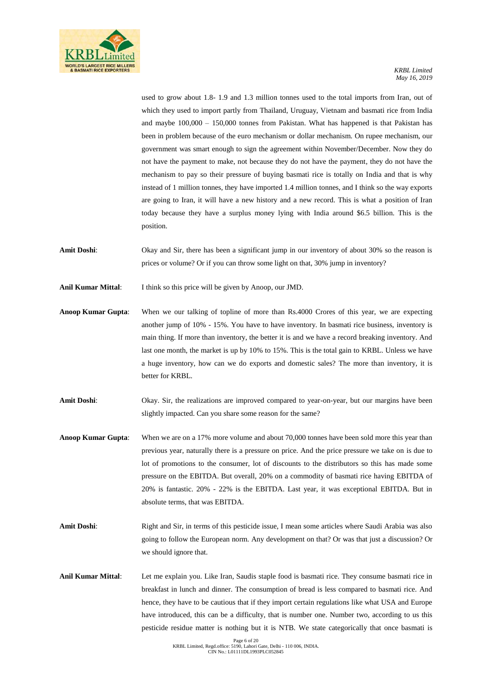

used to grow about 1.8- 1.9 and 1.3 million tonnes used to the total imports from Iran, out of which they used to import partly from Thailand, Uruguay, Vietnam and basmati rice from India and maybe 100,000 – 150,000 tonnes from Pakistan. What has happened is that Pakistan has been in problem because of the euro mechanism or dollar mechanism. On rupee mechanism, our government was smart enough to sign the agreement within November/December. Now they do not have the payment to make, not because they do not have the payment, they do not have the mechanism to pay so their pressure of buying basmati rice is totally on India and that is why instead of 1 million tonnes, they have imported 1.4 million tonnes, and I think so the way exports are going to Iran, it will have a new history and a new record. This is what a position of Iran today because they have a surplus money lying with India around \$6.5 billion. This is the position.

**Amit Doshi:** Okay and Sir, there has been a significant jump in our inventory of about 30% so the reason is prices or volume? Or if you can throw some light on that, 30% jump in inventory?

**Anil Kumar Mittal**: I think so this price will be given by Anoop, our JMD.

- **Anoop Kumar Gupta**: When we our talking of topline of more than Rs.4000 Crores of this year, we are expecting another jump of 10% - 15%. You have to have inventory. In basmati rice business, inventory is main thing. If more than inventory, the better it is and we have a record breaking inventory. And last one month, the market is up by 10% to 15%. This is the total gain to KRBL. Unless we have a huge inventory, how can we do exports and domestic sales? The more than inventory, it is better for KRBL.
- Amit Doshi: Okay. Sir, the realizations are improved compared to year-on-year, but our margins have been slightly impacted. Can you share some reason for the same?
- **Anoop Kumar Gupta**: When we are on a 17% more volume and about 70,000 tonnes have been sold more this year than previous year, naturally there is a pressure on price. And the price pressure we take on is due to lot of promotions to the consumer, lot of discounts to the distributors so this has made some pressure on the EBITDA. But overall, 20% on a commodity of basmati rice having EBITDA of 20% is fantastic. 20% - 22% is the EBITDA. Last year, it was exceptional EBITDA. But in absolute terms, that was EBITDA.
- **Amit Doshi:** Right and Sir, in terms of this pesticide issue, I mean some articles where Saudi Arabia was also going to follow the European norm. Any development on that? Or was that just a discussion? Or we should ignore that.
- **Anil Kumar Mittal**: Let me explain you. Like Iran, Saudis staple food is basmati rice. They consume basmati rice in breakfast in lunch and dinner. The consumption of bread is less compared to basmati rice. And hence, they have to be cautious that if they import certain regulations like what USA and Europe have introduced, this can be a difficulty, that is number one. Number two, according to us this pesticide residue matter is nothing but it is NTB. We state categorically that once basmati is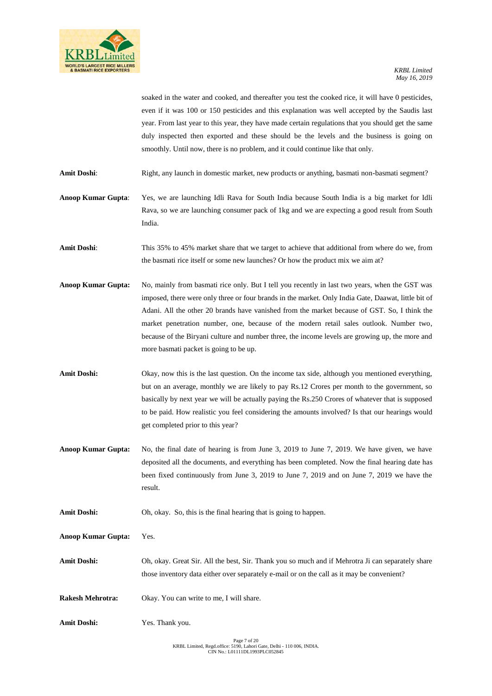

soaked in the water and cooked, and thereafter you test the cooked rice, it will have 0 pesticides, even if it was 100 or 150 pesticides and this explanation was well accepted by the Saudis last year. From last year to this year, they have made certain regulations that you should get the same duly inspected then exported and these should be the levels and the business is going on smoothly. Until now, there is no problem, and it could continue like that only.

Amit Doshi: Right, any launch in domestic market, new products or anything, basmati non-basmati segment?

**Anoop Kumar Gupta**: Yes, we are launching Idli Rava for South India because South India is a big market for Idli Rava, so we are launching consumer pack of 1kg and we are expecting a good result from South India.

**Amit Doshi**: This 35% to 45% market share that we target to achieve that additional from where do we, from the basmati rice itself or some new launches? Or how the product mix we aim at?

**Anoop Kumar Gupta:** No, mainly from basmati rice only. But I tell you recently in last two years, when the GST was imposed, there were only three or four brands in the market. Only India Gate, Daawat, little bit of Adani. All the other 20 brands have vanished from the market because of GST. So, I think the market penetration number, one, because of the modern retail sales outlook. Number two, because of the Biryani culture and number three, the income levels are growing up, the more and more basmati packet is going to be up.

**Amit Doshi:** Okay, now this is the last question. On the income tax side, although you mentioned everything, but on an average, monthly we are likely to pay Rs.12 Crores per month to the government, so basically by next year we will be actually paying the Rs.250 Crores of whatever that is supposed to be paid. How realistic you feel considering the amounts involved? Is that our hearings would get completed prior to this year?

**Anoop Kumar Gupta:** No, the final date of hearing is from June 3, 2019 to June 7, 2019. We have given, we have deposited all the documents, and everything has been completed. Now the final hearing date has been fixed continuously from June 3, 2019 to June 7, 2019 and on June 7, 2019 we have the result.

Amit Doshi: Oh, okay. So, this is the final hearing that is going to happen.

**Anoop Kumar Gupta:** Yes.

**Amit Doshi:** Oh, okay. Great Sir. All the best, Sir. Thank you so much and if Mehrotra Ji can separately share those inventory data either over separately e-mail or on the call as it may be convenient?

- **Rakesh Mehrotra:** Okay. You can write to me, I will share.
- **Amit Doshi:** Yes. Thank you.

Page 7 of 20 KRBL Limited, Regd.office: 5190, Lahori Gate, Delhi - 110 006, INDIA. CIN No.: L01111DL1993PLC052845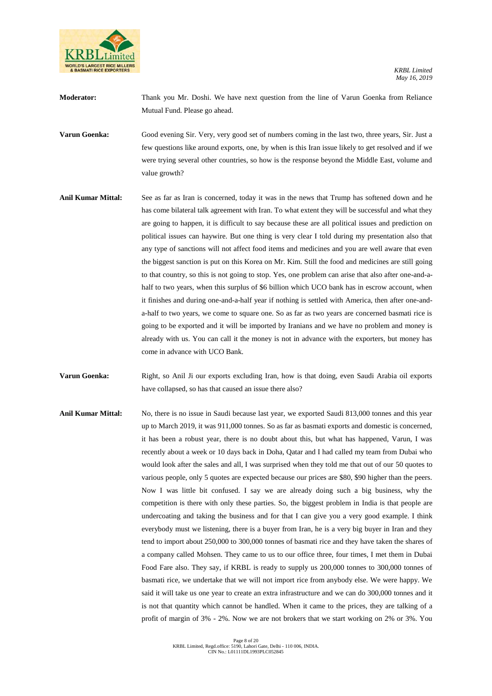

**Moderator:** Thank you Mr. Doshi. We have next question from the line of Varun Goenka from Reliance Mutual Fund. Please go ahead.

**Varun Goenka:** Good evening Sir. Very, very good set of numbers coming in the last two, three years, Sir. Just a few questions like around exports, one, by when is this Iran issue likely to get resolved and if we were trying several other countries, so how is the response beyond the Middle East, volume and value growth?

**Anil Kumar Mittal:** See as far as Iran is concerned, today it was in the news that Trump has softened down and he has come bilateral talk agreement with Iran. To what extent they will be successful and what they are going to happen, it is difficult to say because these are all political issues and prediction on political issues can haywire. But one thing is very clear I told during my presentation also that any type of sanctions will not affect food items and medicines and you are well aware that even the biggest sanction is put on this Korea on Mr. Kim. Still the food and medicines are still going to that country, so this is not going to stop. Yes, one problem can arise that also after one-and-ahalf to two years, when this surplus of \$6 billion which UCO bank has in escrow account, when it finishes and during one-and-a-half year if nothing is settled with America, then after one-anda-half to two years, we come to square one. So as far as two years are concerned basmati rice is going to be exported and it will be imported by Iranians and we have no problem and money is already with us. You can call it the money is not in advance with the exporters, but money has come in advance with UCO Bank.

**Varun Goenka:** Right, so Anil Ji our exports excluding Iran, how is that doing, even Saudi Arabia oil exports have collapsed, so has that caused an issue there also?

Anil Kumar Mittal: No, there is no issue in Saudi because last year, we exported Saudi 813,000 tonnes and this year up to March 2019, it was 911,000 tonnes. So as far as basmati exports and domestic is concerned, it has been a robust year, there is no doubt about this, but what has happened, Varun, I was recently about a week or 10 days back in Doha, Qatar and I had called my team from Dubai who would look after the sales and all, I was surprised when they told me that out of our 50 quotes to various people, only 5 quotes are expected because our prices are \$80, \$90 higher than the peers. Now I was little bit confused. I say we are already doing such a big business, why the competition is there with only these parties. So, the biggest problem in India is that people are undercoating and taking the business and for that I can give you a very good example. I think everybody must we listening, there is a buyer from Iran, he is a very big buyer in Iran and they tend to import about 250,000 to 300,000 tonnes of basmati rice and they have taken the shares of a company called Mohsen. They came to us to our office three, four times, I met them in Dubai Food Fare also. They say, if KRBL is ready to supply us 200,000 tonnes to 300,000 tonnes of basmati rice, we undertake that we will not import rice from anybody else. We were happy. We said it will take us one year to create an extra infrastructure and we can do 300,000 tonnes and it is not that quantity which cannot be handled. When it came to the prices, they are talking of a profit of margin of 3% - 2%. Now we are not brokers that we start working on 2% or 3%. You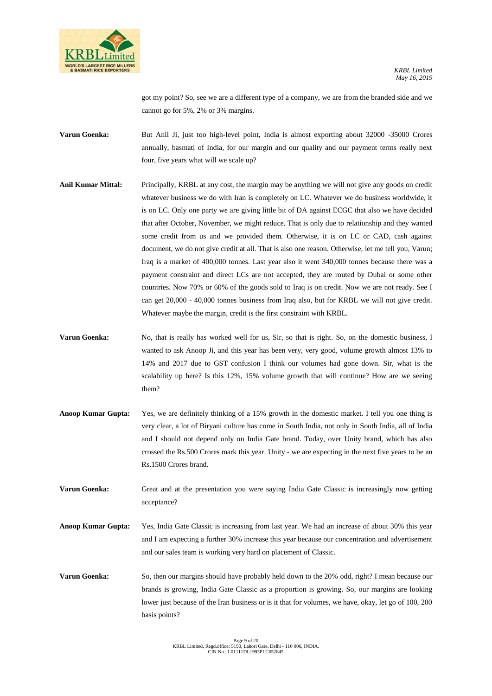

got my point? So, see we are a different type of a company, we are from the branded side and we cannot go for 5%, 2% or 3% margins.

**Varun Goenka:** But Anil Ji, just too high-level point, India is almost exporting about 32000 -35000 Crores annually, basmati of India, for our margin and our quality and our payment terms really next four, five years what will we scale up?

- **Anil Kumar Mittal:** Principally, KRBL at any cost, the margin may be anything we will not give any goods on credit whatever business we do with Iran is completely on LC. Whatever we do business worldwide, it is on LC. Only one party we are giving little bit of DA against ECGC that also we have decided that after October, November, we might reduce. That is only due to relationship and they wanted some credit from us and we provided them. Otherwise, it is on LC or CAD, cash against document, we do not give credit at all. That is also one reason. Otherwise, let me tell you, Varun; Iraq is a market of 400,000 tonnes. Last year also it went 340,000 tonnes because there was a payment constraint and direct LCs are not accepted, they are routed by Dubai or some other countries. Now 70% or 60% of the goods sold to Iraq is on credit. Now we are not ready. See I can get 20,000 - 40,000 tonnes business from Iraq also, but for KRBL we will not give credit. Whatever maybe the margin, credit is the first constraint with KRBL.
- **Varun Goenka:** No, that is really has worked well for us, Sir, so that is right. So, on the domestic business, I wanted to ask Anoop Ji, and this year has been very, very good, volume growth almost 13% to 14% and 2017 due to GST confusion I think our volumes had gone down. Sir, what is the scalability up here? Is this 12%, 15% volume growth that will continue? How are we seeing them?
- **Anoop Kumar Gupta:** Yes, we are definitely thinking of a 15% growth in the domestic market. I tell you one thing is very clear, a lot of Biryani culture has come in South India, not only in South India, all of India and I should not depend only on India Gate brand. Today, over Unity brand, which has also crossed the Rs.500 Crores mark this year. Unity - we are expecting in the next five years to be an Rs.1500 Crores brand.

**Varun Goenka:** Great and at the presentation you were saying India Gate Classic is increasingly now getting acceptance?

**Anoop Kumar Gupta:** Yes, India Gate Classic is increasing from last year. We had an increase of about 30% this year and I am expecting a further 30% increase this year because our concentration and advertisement and our sales team is working very hard on placement of Classic.

**Varun Goenka:** So, then our margins should have probably held down to the 20% odd, right? I mean because our brands is growing, India Gate Classic as a proportion is growing. So, our margins are looking lower just because of the Iran business or is it that for volumes, we have, okay, let go of 100, 200 basis points?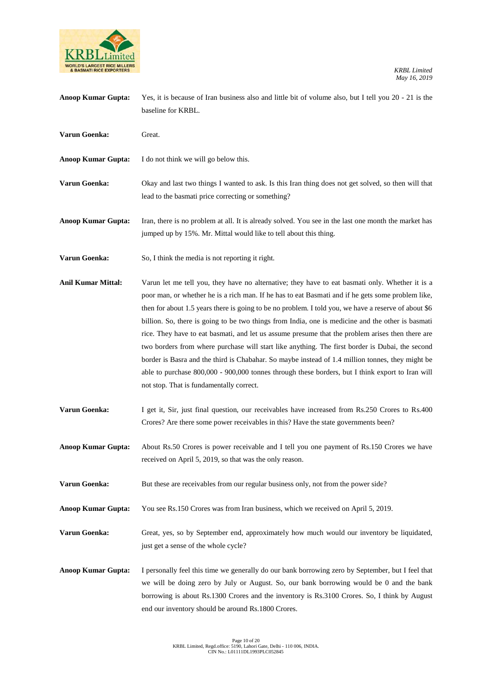

| <b>Anoop Kumar Gupta:</b> | Yes, it is because of Iran business also and little bit of volume also, but I tell you 20 - 21 is the<br>baseline for KRBL.                                                                                                                                                                                                                                                                                                                                                                                                                                                                                                                                                                                                                                                                                                                                                  |
|---------------------------|------------------------------------------------------------------------------------------------------------------------------------------------------------------------------------------------------------------------------------------------------------------------------------------------------------------------------------------------------------------------------------------------------------------------------------------------------------------------------------------------------------------------------------------------------------------------------------------------------------------------------------------------------------------------------------------------------------------------------------------------------------------------------------------------------------------------------------------------------------------------------|
| Varun Goenka:             | Great.                                                                                                                                                                                                                                                                                                                                                                                                                                                                                                                                                                                                                                                                                                                                                                                                                                                                       |
| <b>Anoop Kumar Gupta:</b> | I do not think we will go below this.                                                                                                                                                                                                                                                                                                                                                                                                                                                                                                                                                                                                                                                                                                                                                                                                                                        |
| Varun Goenka:             | Okay and last two things I wanted to ask. Is this Iran thing does not get solved, so then will that<br>lead to the basmati price correcting or something?                                                                                                                                                                                                                                                                                                                                                                                                                                                                                                                                                                                                                                                                                                                    |
| <b>Anoop Kumar Gupta:</b> | Iran, there is no problem at all. It is already solved. You see in the last one month the market has<br>jumped up by 15%. Mr. Mittal would like to tell about this thing.                                                                                                                                                                                                                                                                                                                                                                                                                                                                                                                                                                                                                                                                                                    |
| Varun Goenka:             | So, I think the media is not reporting it right.                                                                                                                                                                                                                                                                                                                                                                                                                                                                                                                                                                                                                                                                                                                                                                                                                             |
| <b>Anil Kumar Mittal:</b> | Varun let me tell you, they have no alternative; they have to eat basmati only. Whether it is a<br>poor man, or whether he is a rich man. If he has to eat Basmati and if he gets some problem like,<br>then for about 1.5 years there is going to be no problem. I told you, we have a reserve of about \$6<br>billion. So, there is going to be two things from India, one is medicine and the other is basmati<br>rice. They have to eat basmati, and let us assume presume that the problem arises then there are<br>two borders from where purchase will start like anything. The first border is Dubai, the second<br>border is Basra and the third is Chabahar. So maybe instead of 1.4 million tonnes, they might be<br>able to purchase 800,000 - 900,000 tonnes through these borders, but I think export to Iran will<br>not stop. That is fundamentally correct. |
| Varun Goenka:             | I get it, Sir, just final question, our receivables have increased from Rs.250 Crores to Rs.400<br>Crores? Are there some power receivables in this? Have the state governments been?                                                                                                                                                                                                                                                                                                                                                                                                                                                                                                                                                                                                                                                                                        |
| <b>Anoop Kumar Gupta:</b> | About Rs.50 Crores is power receivable and I tell you one payment of Rs.150 Crores we have<br>received on April 5, 2019, so that was the only reason.                                                                                                                                                                                                                                                                                                                                                                                                                                                                                                                                                                                                                                                                                                                        |
| Varun Goenka:             | But these are receivables from our regular business only, not from the power side?                                                                                                                                                                                                                                                                                                                                                                                                                                                                                                                                                                                                                                                                                                                                                                                           |
| <b>Anoop Kumar Gupta:</b> | You see Rs.150 Crores was from Iran business, which we received on April 5, 2019.                                                                                                                                                                                                                                                                                                                                                                                                                                                                                                                                                                                                                                                                                                                                                                                            |
| Varun Goenka:             | Great, yes, so by September end, approximately how much would our inventory be liquidated,<br>just get a sense of the whole cycle?                                                                                                                                                                                                                                                                                                                                                                                                                                                                                                                                                                                                                                                                                                                                           |
| <b>Anoop Kumar Gupta:</b> | I personally feel this time we generally do our bank borrowing zero by September, but I feel that<br>we will be doing zero by July or August. So, our bank borrowing would be 0 and the bank<br>borrowing is about Rs.1300 Crores and the inventory is Rs.3100 Crores. So, I think by August<br>end our inventory should be around Rs.1800 Crores.                                                                                                                                                                                                                                                                                                                                                                                                                                                                                                                           |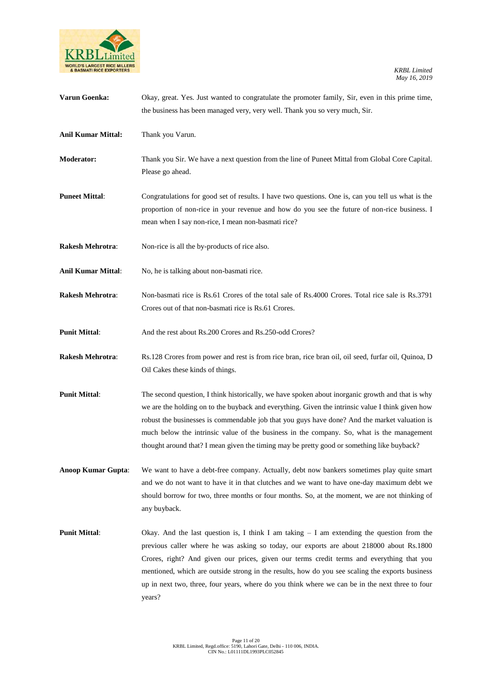

| Varun Goenka:             | Okay, great. Yes. Just wanted to congratulate the promoter family, Sir, even in this prime time,<br>the business has been managed very, very well. Thank you so very much, Sir.                                                                                                                                                                                                                                                                                                                       |
|---------------------------|-------------------------------------------------------------------------------------------------------------------------------------------------------------------------------------------------------------------------------------------------------------------------------------------------------------------------------------------------------------------------------------------------------------------------------------------------------------------------------------------------------|
| <b>Anil Kumar Mittal:</b> | Thank you Varun.                                                                                                                                                                                                                                                                                                                                                                                                                                                                                      |
| Moderator:                | Thank you Sir. We have a next question from the line of Puneet Mittal from Global Core Capital.<br>Please go ahead.                                                                                                                                                                                                                                                                                                                                                                                   |
| <b>Puneet Mittal:</b>     | Congratulations for good set of results. I have two questions. One is, can you tell us what is the<br>proportion of non-rice in your revenue and how do you see the future of non-rice business. I<br>mean when I say non-rice, I mean non-basmati rice?                                                                                                                                                                                                                                              |
| <b>Rakesh Mehrotra:</b>   | Non-rice is all the by-products of rice also.                                                                                                                                                                                                                                                                                                                                                                                                                                                         |
| <b>Anil Kumar Mittal:</b> | No, he is talking about non-basmati rice.                                                                                                                                                                                                                                                                                                                                                                                                                                                             |
| Rakesh Mehrotra:          | Non-basmati rice is Rs.61 Crores of the total sale of Rs.4000 Crores. Total rice sale is Rs.3791<br>Crores out of that non-basmati rice is Rs.61 Crores.                                                                                                                                                                                                                                                                                                                                              |
| <b>Punit Mittal:</b>      | And the rest about Rs.200 Crores and Rs.250-odd Crores?                                                                                                                                                                                                                                                                                                                                                                                                                                               |
| <b>Rakesh Mehrotra:</b>   | Rs.128 Crores from power and rest is from rice bran, rice bran oil, oil seed, furfar oil, Quinoa, D<br>Oil Cakes these kinds of things.                                                                                                                                                                                                                                                                                                                                                               |
| <b>Punit Mittal:</b>      | The second question, I think historically, we have spoken about inorganic growth and that is why<br>we are the holding on to the buyback and everything. Given the intrinsic value I think given how<br>robust the businesses is commendable job that you guys have done? And the market valuation is<br>much below the intrinsic value of the business in the company. So, what is the management<br>thought around that? I mean given the timing may be pretty good or something like buyback?      |
| <b>Anoop Kumar Gupta:</b> | We want to have a debt-free company. Actually, debt now bankers sometimes play quite smart<br>and we do not want to have it in that clutches and we want to have one-day maximum debt we<br>should borrow for two, three months or four months. So, at the moment, we are not thinking of<br>any buyback.                                                                                                                                                                                             |
| <b>Punit Mittal:</b>      | Okay. And the last question is, I think I am taking $-$ I am extending the question from the<br>previous caller where he was asking so today, our exports are about 218000 about Rs.1800<br>Crores, right? And given our prices, given our terms credit terms and everything that you<br>mentioned, which are outside strong in the results, how do you see scaling the exports business<br>up in next two, three, four years, where do you think where we can be in the next three to four<br>years? |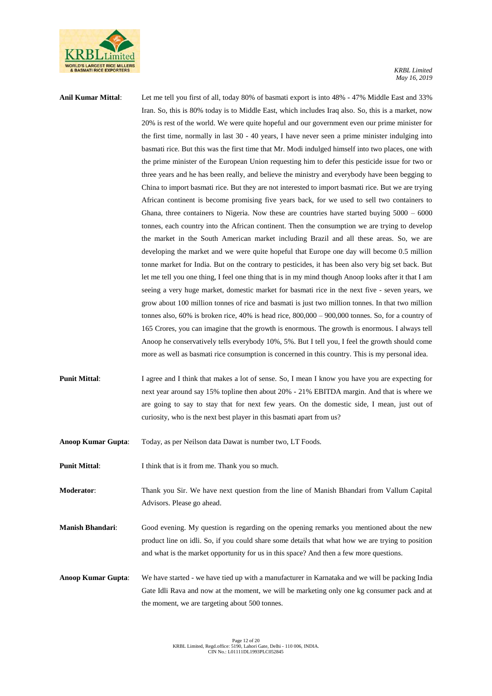

| <b>Anil Kumar Mittal:</b> | Let me tell you first of all, today 80% of basmati export is into 48% - 47% Middle East and 33%           |
|---------------------------|-----------------------------------------------------------------------------------------------------------|
|                           | Iran. So, this is 80% today is to Middle East, which includes Iraq also. So, this is a market, now        |
|                           | 20% is rest of the world. We were quite hopeful and our government even our prime minister for            |
|                           | the first time, normally in last 30 - 40 years, I have never seen a prime minister indulging into         |
|                           | basmati rice. But this was the first time that Mr. Modi indulged himself into two places, one with        |
|                           | the prime minister of the European Union requesting him to defer this pesticide issue for two or          |
|                           | three years and he has been really, and believe the ministry and everybody have been begging to           |
|                           | China to import basmati rice. But they are not interested to import basmati rice. But we are trying       |
|                           | African continent is become promising five years back, for we used to sell two containers to              |
|                           | Ghana, three containers to Nigeria. Now these are countries have started buying $5000 - 6000$             |
|                           | tonnes, each country into the African continent. Then the consumption we are trying to develop            |
|                           | the market in the South American market including Brazil and all these areas. So, we are                  |
|                           | developing the market and we were quite hopeful that Europe one day will become 0.5 million               |
|                           | tonne market for India. But on the contrary to pesticides, it has been also very big set back. But        |
|                           | let me tell you one thing, I feel one thing that is in my mind though Anoop looks after it that I am      |
|                           | seeing a very huge market, domestic market for basmati rice in the next five - seven years, we            |
|                           | grow about 100 million tonnes of rice and basmati is just two million tonnes. In that two million         |
|                           | tonnes also, $60\%$ is broken rice, $40\%$ is head rice, $800,000 - 900,000$ tonnes. So, for a country of |
|                           | 165 Crores, you can imagine that the growth is enormous. The growth is enormous. I always tell            |
|                           | Anoop he conservatively tells everybody 10%, 5%. But I tell you, I feel the growth should come            |
|                           | more as well as basmati rice consumption is concerned in this country. This is my personal idea.          |
| <b>Punit Mittal:</b>      | I agree and I think that makes a lot of sense. So, I mean I know you have you are expecting for           |
|                           | next year around say 15% topline then about 20% - 21% EBITDA margin. And that is where we                 |
|                           | are going to say to stay that for next few years. On the domestic side, I mean, just out of               |
|                           | curiosity, who is the next best player in this basmati apart from us?                                     |
| Anoop Kumar Gupta:        | Today, as per Neilson data Dawat is number two, LT Foods.                                                 |

**Punit Mittal:** I think that is it from me. Thank you so much.

**Moderator**: Thank you Sir. We have next question from the line of Manish Bhandari from Vallum Capital Advisors. Please go ahead.

**Manish Bhandari**: Good evening. My question is regarding on the opening remarks you mentioned about the new product line on idli. So, if you could share some details that what how we are trying to position and what is the market opportunity for us in this space? And then a few more questions.

**Anoop Kumar Gupta**: We have started - we have tied up with a manufacturer in Karnataka and we will be packing India Gate Idli Rava and now at the moment, we will be marketing only one kg consumer pack and at the moment, we are targeting about 500 tonnes.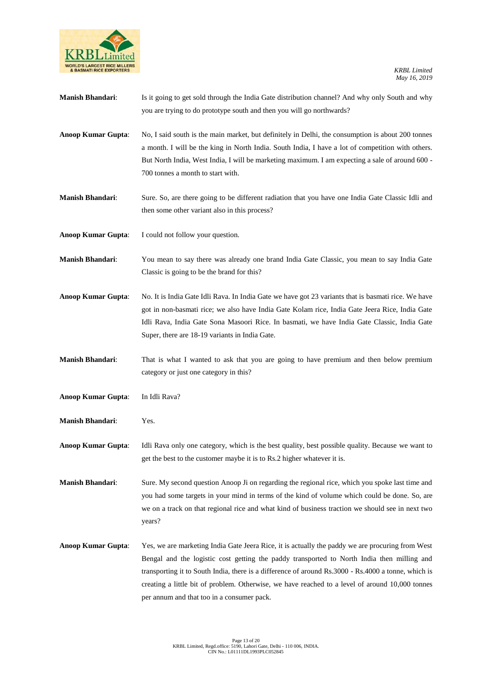

| <b>Manish Bhandari:</b>   | Is it going to get sold through the India Gate distribution channel? And why only South and why<br>you are trying to do prototype south and then you will go northwards?                                                                                                                                                                                                                                                                               |
|---------------------------|--------------------------------------------------------------------------------------------------------------------------------------------------------------------------------------------------------------------------------------------------------------------------------------------------------------------------------------------------------------------------------------------------------------------------------------------------------|
| <b>Anoop Kumar Gupta:</b> | No, I said south is the main market, but definitely in Delhi, the consumption is about 200 tonnes<br>a month. I will be the king in North India. South India, I have a lot of competition with others.<br>But North India, West India, I will be marketing maximum. I am expecting a sale of around 600 -<br>700 tonnes a month to start with.                                                                                                         |
| <b>Manish Bhandari:</b>   | Sure. So, are there going to be different radiation that you have one India Gate Classic Idli and<br>then some other variant also in this process?                                                                                                                                                                                                                                                                                                     |
| <b>Anoop Kumar Gupta:</b> | I could not follow your question.                                                                                                                                                                                                                                                                                                                                                                                                                      |
| <b>Manish Bhandari:</b>   | You mean to say there was already one brand India Gate Classic, you mean to say India Gate<br>Classic is going to be the brand for this?                                                                                                                                                                                                                                                                                                               |
| <b>Anoop Kumar Gupta:</b> | No. It is India Gate Idli Rava. In India Gate we have got 23 variants that is basmati rice. We have<br>got in non-basmati rice; we also have India Gate Kolam rice, India Gate Jeera Rice, India Gate<br>Idli Rava, India Gate Sona Masoori Rice. In basmati, we have India Gate Classic, India Gate<br>Super, there are 18-19 variants in India Gate.                                                                                                 |
| <b>Manish Bhandari:</b>   | That is what I wanted to ask that you are going to have premium and then below premium<br>category or just one category in this?                                                                                                                                                                                                                                                                                                                       |
| <b>Anoop Kumar Gupta:</b> | In Idli Rava?                                                                                                                                                                                                                                                                                                                                                                                                                                          |
| <b>Manish Bhandari:</b>   | Yes.                                                                                                                                                                                                                                                                                                                                                                                                                                                   |
| <b>Anoop Kumar Gupta:</b> | Idli Rava only one category, which is the best quality, best possible quality. Because we want to<br>get the best to the customer maybe it is to Rs.2 higher whatever it is.                                                                                                                                                                                                                                                                           |
| <b>Manish Bhandari:</b>   | Sure. My second question Anoop Ji on regarding the regional rice, which you spoke last time and<br>you had some targets in your mind in terms of the kind of volume which could be done. So, are<br>we on a track on that regional rice and what kind of business traction we should see in next two<br>years?                                                                                                                                         |
| <b>Anoop Kumar Gupta:</b> | Yes, we are marketing India Gate Jeera Rice, it is actually the paddy we are procuring from West<br>Bengal and the logistic cost getting the paddy transported to North India then milling and<br>transporting it to South India, there is a difference of around Rs.3000 - Rs.4000 a tonne, which is<br>creating a little bit of problem. Otherwise, we have reached to a level of around 10,000 tonnes<br>per annum and that too in a consumer pack. |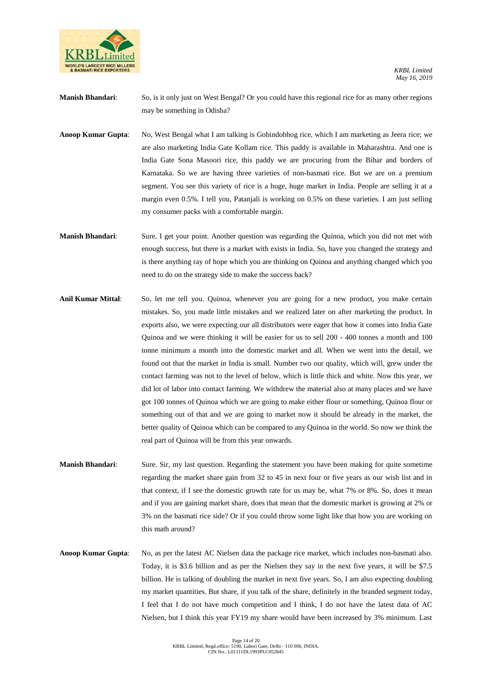

**Manish Bhandari**: So, is it only just on West Bengal? Or you could have this regional rice for as many other regions may be something in Odisha?

**Anoop Kumar Gupta**: No, West Bengal what I am talking is Gobindobhog rice, which I am marketing as Jeera rice; we are also marketing India Gate Kollam rice. This paddy is available in Maharashtra. And one is India Gate Sona Masoori rice, this paddy we are procuring from the Bihar and borders of Karnataka. So we are having three varieties of non-basmati rice. But we are on a premium segment. You see this variety of rice is a huge, huge market in India. People are selling it at a margin even 0.5%. I tell you, Patanjali is working on 0.5% on these varieties. I am just selling my consumer packs with a comfortable margin.

- **Manish Bhandari**: Sure. I get your point. Another question was regarding the Quinoa, which you did not met with enough success, but there is a market with exists in India. So, have you changed the strategy and is there anything ray of hope which you are thinking on Quinoa and anything changed which you need to do on the strategy side to make the success back?
- **Anil Kumar Mittal**: So, let me tell you. Quinoa, whenever you are going for a new product, you make certain mistakes. So, you made little mistakes and we realized later on after marketing the product. In exports also, we were expecting our all distributors were eager that how it comes into India Gate Quinoa and we were thinking it will be easier for us to sell 200 - 400 tonnes a month and 100 tonne minimum a month into the domestic market and all. When we went into the detail, we found out that the market in India is small. Number two our quality, which will, grew under the contact farming was not to the level of below, which is little thick and white. Now this year, we did lot of labor into contact farming. We withdrew the material also at many places and we have got 100 tonnes of Quinoa which we are going to make either flour or something, Quinoa flour or something out of that and we are going to market now it should be already in the market, the better quality of Quinoa which can be compared to any Quinoa in the world. So now we think the real part of Quinoa will be from this year onwards.
- **Manish Bhandari**: Sure. Sir, my last question. Regarding the statement you have been making for quite sometime regarding the market share gain from 32 to 45 in next four or five years as our wish list and in that context, if I see the domestic growth rate for us may be, what 7% or 8%. So, does it mean and if you are gaining market share, does that mean that the domestic market is growing at 2% or 3% on the basmati rice side? Or if you could throw some light like that how you are working on this math around?
- **Anoop Kumar Gupta**: No, as per the latest AC Nielsen data the package rice market, which includes non-basmati also. Today, it is \$3.6 billion and as per the Nielsen they say in the next five years, it will be \$7.5 billion. He is talking of doubling the market in next five years. So, I am also expecting doubling my market quantities. But share, if you talk of the share, definitely in the branded segment today, I feel that I do not have much competition and I think, I do not have the latest data of AC Nielsen, but I think this year FY19 my share would have been increased by 3% minimum. Last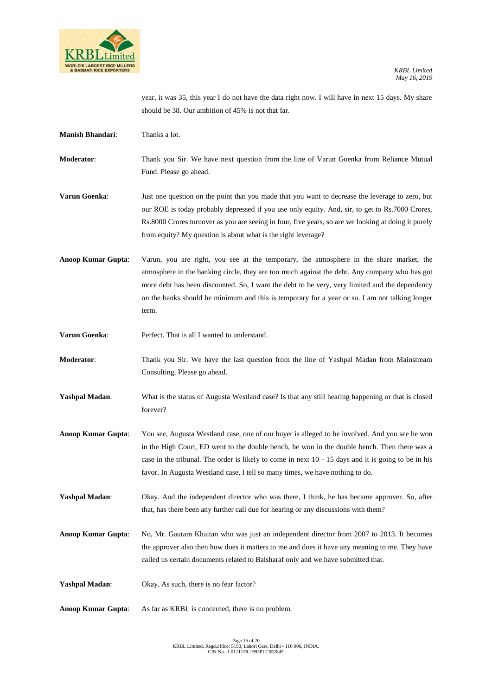

year, it was 35, this year I do not have the data right now. I will have in next 15 days. My share should be 38. Our ambition of 45% is not that far.

**Manish Bhandari**: Thanks a lot.

**Moderator**: Thank you Sir. We have next question from the line of Varun Goenka from Reliance Mutual Fund. Please go ahead.

**Varun Goenka**: Just one question on the point that you made that you want to decrease the leverage to zero, but our ROE is today probably depressed if you use only equity. And, sir, to get to Rs.7000 Crores, Rs.8000 Crores turnover as you are seeing in four, five years, so are we looking at doing it purely from equity? My question is about what is the right leverage?

Anoop Kumar Gupta: Varun, you are right, you see at the temporary, the atmosphere in the share market, the atmosphere in the banking circle, they are too much against the debt. Any company who has got more debt has been discounted. So, I want the debt to be very, very limited and the dependency on the banks should be minimum and this is temporary for a year or so. I am not talking longer term.

**Varun Goenka:** Perfect. That is all I wanted to understand.

**Moderator**: Thank you Sir. We have the last question from the line of Yashpal Madan from Mainstream Consulting. Please go ahead.

- **Yashpal Madan**: What is the status of Augusta Westland case? Is that any still hearing happening or that is closed forever?
- **Anoop Kumar Gupta**: You see, Augusta Westland case, one of our buyer is alleged to be involved. And you see he won in the High Court, ED went to the double bench, he won in the double bench. Then there was a case in the tribunal. The order is likely to come in next 10 - 15 days and it is going to be in his favor. In Augusta Westland case, I tell so many times, we have nothing to do.

Yashpal Madan: Okay. And the independent director who was there, I think, he has became approver. So, after that, has there been any further call due for hearing or any discussions with them?

**Anoop Kumar Gupta**: No, Mr. Gautam Khaitan who was just an independent director from 2007 to 2013. It becomes the approver also then how does it matters to me and does it have any meaning to me. They have called us certain documents related to Balsharaf only and we have submitted that.

Yashpal Madan: Okay. As such, there is no fear factor?

**Anoop Kumar Gupta**: As far as KRBL is concerned, there is no problem.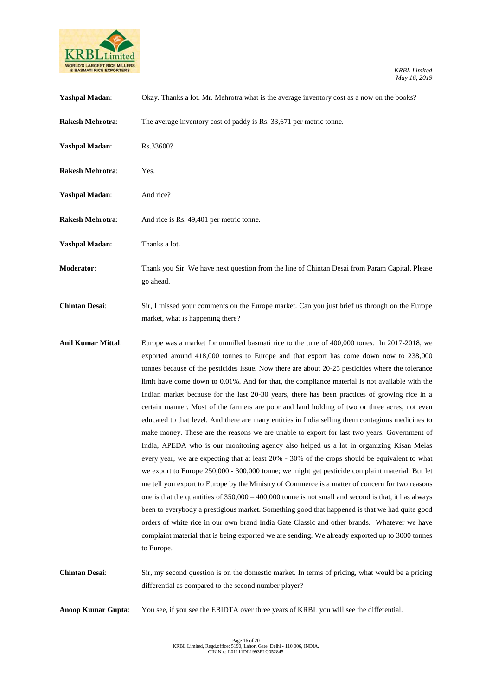

| <b>Yashpal Madan:</b>     | Okay. Thanks a lot. Mr. Mehrotra what is the average inventory cost as a now on the books?                                                                                                                                                                                                                                                                                                                                                                                                                                                                                                                                                                                                                                                                                                                                                                                                                                                                                                                                                                                                                                                                                                                                                                                                                                                                                                                                                                                                                                                                                                                                        |
|---------------------------|-----------------------------------------------------------------------------------------------------------------------------------------------------------------------------------------------------------------------------------------------------------------------------------------------------------------------------------------------------------------------------------------------------------------------------------------------------------------------------------------------------------------------------------------------------------------------------------------------------------------------------------------------------------------------------------------------------------------------------------------------------------------------------------------------------------------------------------------------------------------------------------------------------------------------------------------------------------------------------------------------------------------------------------------------------------------------------------------------------------------------------------------------------------------------------------------------------------------------------------------------------------------------------------------------------------------------------------------------------------------------------------------------------------------------------------------------------------------------------------------------------------------------------------------------------------------------------------------------------------------------------------|
| <b>Rakesh Mehrotra:</b>   | The average inventory cost of paddy is Rs. 33,671 per metric tonne.                                                                                                                                                                                                                                                                                                                                                                                                                                                                                                                                                                                                                                                                                                                                                                                                                                                                                                                                                                                                                                                                                                                                                                                                                                                                                                                                                                                                                                                                                                                                                               |
| <b>Yashpal Madan:</b>     | Rs.33600?                                                                                                                                                                                                                                                                                                                                                                                                                                                                                                                                                                                                                                                                                                                                                                                                                                                                                                                                                                                                                                                                                                                                                                                                                                                                                                                                                                                                                                                                                                                                                                                                                         |
| <b>Rakesh Mehrotra:</b>   | Yes.                                                                                                                                                                                                                                                                                                                                                                                                                                                                                                                                                                                                                                                                                                                                                                                                                                                                                                                                                                                                                                                                                                                                                                                                                                                                                                                                                                                                                                                                                                                                                                                                                              |
| <b>Yashpal Madan:</b>     | And rice?                                                                                                                                                                                                                                                                                                                                                                                                                                                                                                                                                                                                                                                                                                                                                                                                                                                                                                                                                                                                                                                                                                                                                                                                                                                                                                                                                                                                                                                                                                                                                                                                                         |
| <b>Rakesh Mehrotra:</b>   | And rice is Rs. 49,401 per metric tonne.                                                                                                                                                                                                                                                                                                                                                                                                                                                                                                                                                                                                                                                                                                                                                                                                                                                                                                                                                                                                                                                                                                                                                                                                                                                                                                                                                                                                                                                                                                                                                                                          |
| <b>Yashpal Madan:</b>     | Thanks a lot.                                                                                                                                                                                                                                                                                                                                                                                                                                                                                                                                                                                                                                                                                                                                                                                                                                                                                                                                                                                                                                                                                                                                                                                                                                                                                                                                                                                                                                                                                                                                                                                                                     |
| Moderator:                | Thank you Sir. We have next question from the line of Chintan Desai from Param Capital. Please<br>go ahead.                                                                                                                                                                                                                                                                                                                                                                                                                                                                                                                                                                                                                                                                                                                                                                                                                                                                                                                                                                                                                                                                                                                                                                                                                                                                                                                                                                                                                                                                                                                       |
| <b>Chintan Desai:</b>     | Sir, I missed your comments on the Europe market. Can you just brief us through on the Europe<br>market, what is happening there?                                                                                                                                                                                                                                                                                                                                                                                                                                                                                                                                                                                                                                                                                                                                                                                                                                                                                                                                                                                                                                                                                                                                                                                                                                                                                                                                                                                                                                                                                                 |
| <b>Anil Kumar Mittal:</b> | Europe was a market for unmilled basmati rice to the tune of 400,000 tones. In 2017-2018, we<br>exported around 418,000 tonnes to Europe and that export has come down now to 238,000<br>tonnes because of the pesticides issue. Now there are about 20-25 pesticides where the tolerance<br>limit have come down to 0.01%. And for that, the compliance material is not available with the<br>Indian market because for the last 20-30 years, there has been practices of growing rice in a<br>certain manner. Most of the farmers are poor and land holding of two or three acres, not even<br>educated to that level. And there are many entities in India selling them contagious medicines to<br>make money. These are the reasons we are unable to export for last two years. Government of<br>India, APEDA who is our monitoring agency also helped us a lot in organizing Kisan Melas<br>every year, we are expecting that at least 20% - 30% of the crops should be equivalent to what<br>we export to Europe 250,000 - 300,000 tonne; we might get pesticide complaint material. But let<br>me tell you export to Europe by the Ministry of Commerce is a matter of concern for two reasons<br>one is that the quantities of $350,000 - 400,000$ tonne is not small and second is that, it has always<br>been to everybody a prestigious market. Something good that happened is that we had quite good<br>orders of white rice in our own brand India Gate Classic and other brands. Whatever we have<br>complaint material that is being exported we are sending. We already exported up to 3000 tonnes<br>to Europe. |
| <b>Chintan Desai:</b>     | Sir, my second question is on the domestic market. In terms of pricing, what would be a pricing<br>differential as compared to the second number player?                                                                                                                                                                                                                                                                                                                                                                                                                                                                                                                                                                                                                                                                                                                                                                                                                                                                                                                                                                                                                                                                                                                                                                                                                                                                                                                                                                                                                                                                          |
| <b>Anoop Kumar Gupta:</b> | You see, if you see the EBIDTA over three years of KRBL you will see the differential.                                                                                                                                                                                                                                                                                                                                                                                                                                                                                                                                                                                                                                                                                                                                                                                                                                                                                                                                                                                                                                                                                                                                                                                                                                                                                                                                                                                                                                                                                                                                            |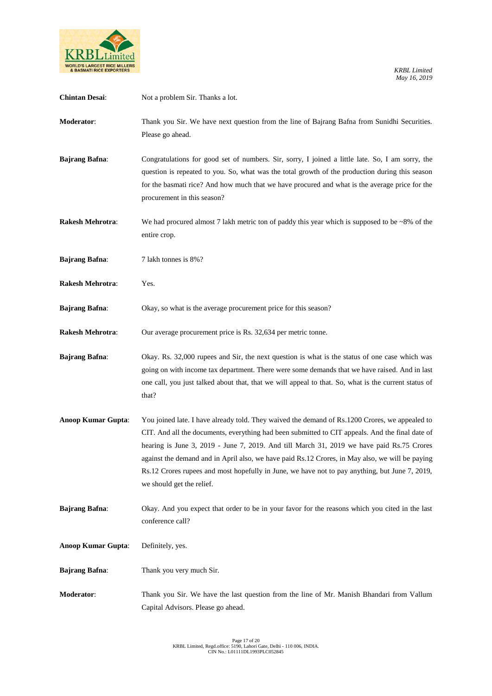

| <b>Chintan Desai:</b>   | Not a problem Sir. Thanks a lot.                                                                                                                                                                                                                                                                                                                                                                                                                                                                                                 |
|-------------------------|----------------------------------------------------------------------------------------------------------------------------------------------------------------------------------------------------------------------------------------------------------------------------------------------------------------------------------------------------------------------------------------------------------------------------------------------------------------------------------------------------------------------------------|
| Moderator:              | Thank you Sir. We have next question from the line of Bajrang Bafna from Sunidhi Securities.<br>Please go ahead.                                                                                                                                                                                                                                                                                                                                                                                                                 |
| <b>Bajrang Bafna:</b>   | Congratulations for good set of numbers. Sir, sorry, I joined a little late. So, I am sorry, the<br>question is repeated to you. So, what was the total growth of the production during this season<br>for the basmati rice? And how much that we have procured and what is the average price for the<br>procurement in this season?                                                                                                                                                                                             |
| <b>Rakesh Mehrotra:</b> | We had procured almost 7 lakh metric ton of paddy this year which is supposed to be $\sim 8\%$ of the<br>entire crop.                                                                                                                                                                                                                                                                                                                                                                                                            |
| <b>Bajrang Bafna:</b>   | 7 lakh tonnes is 8%?                                                                                                                                                                                                                                                                                                                                                                                                                                                                                                             |
| <b>Rakesh Mehrotra:</b> | Yes.                                                                                                                                                                                                                                                                                                                                                                                                                                                                                                                             |
| <b>Bajrang Bafna:</b>   | Okay, so what is the average procurement price for this season?                                                                                                                                                                                                                                                                                                                                                                                                                                                                  |
| Rakesh Mehrotra:        | Our average procurement price is Rs. 32,634 per metric tonne.                                                                                                                                                                                                                                                                                                                                                                                                                                                                    |
| <b>Bajrang Bafna:</b>   | Okay. Rs. 32,000 rupees and Sir, the next question is what is the status of one case which was<br>going on with income tax department. There were some demands that we have raised. And in last<br>one call, you just talked about that, that we will appeal to that. So, what is the current status of<br>that?                                                                                                                                                                                                                 |
| Anoop Kumar Gupta:      | You joined late. I have already told. They waived the demand of Rs.1200 Crores, we appealed to<br>CIT. And all the documents, everything had been submitted to CIT appeals. And the final date of<br>hearing is June 3, 2019 - June 7, 2019. And till March 31, 2019 we have paid Rs.75 Crores<br>against the demand and in April also, we have paid Rs.12 Crores, in May also, we will be paying<br>Rs.12 Crores rupees and most hopefully in June, we have not to pay anything, but June 7, 2019,<br>we should get the relief. |
| <b>Bajrang Bafna:</b>   | Okay. And you expect that order to be in your favor for the reasons which you cited in the last<br>conference call?                                                                                                                                                                                                                                                                                                                                                                                                              |
| Anoop Kumar Gupta:      | Definitely, yes.                                                                                                                                                                                                                                                                                                                                                                                                                                                                                                                 |
| <b>Bajrang Bafna:</b>   | Thank you very much Sir.                                                                                                                                                                                                                                                                                                                                                                                                                                                                                                         |
| Moderator:              | Thank you Sir. We have the last question from the line of Mr. Manish Bhandari from Vallum<br>Capital Advisors. Please go ahead.                                                                                                                                                                                                                                                                                                                                                                                                  |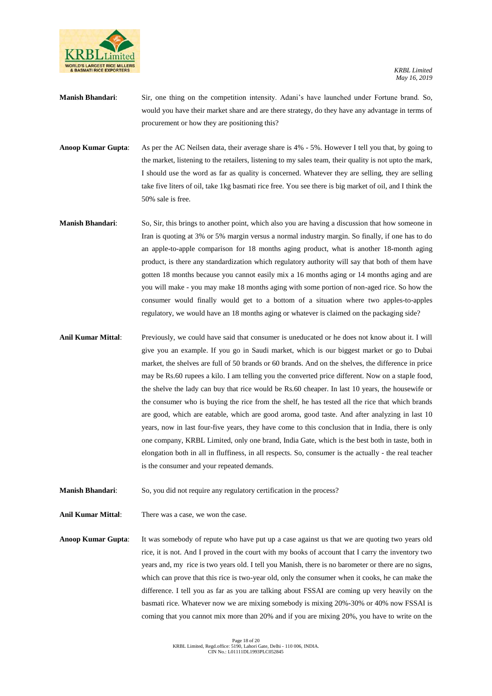

- **Manish Bhandari**: Sir, one thing on the competition intensity. Adani's have launched under Fortune brand. So, would you have their market share and are there strategy, do they have any advantage in terms of procurement or how they are positioning this?
- **Anoop Kumar Gupta**: As per the AC Neilsen data, their average share is 4% 5%. However I tell you that, by going to the market, listening to the retailers, listening to my sales team, their quality is not upto the mark, I should use the word as far as quality is concerned. Whatever they are selling, they are selling take five liters of oil, take 1kg basmati rice free. You see there is big market of oil, and I think the 50% sale is free.
- **Manish Bhandari**: So, Sir, this brings to another point, which also you are having a discussion that how someone in Iran is quoting at 3% or 5% margin versus a normal industry margin. So finally, if one has to do an apple-to-apple comparison for 18 months aging product, what is another 18-month aging product, is there any standardization which regulatory authority will say that both of them have gotten 18 months because you cannot easily mix a 16 months aging or 14 months aging and are you will make - you may make 18 months aging with some portion of non-aged rice. So how the consumer would finally would get to a bottom of a situation where two apples-to-apples regulatory, we would have an 18 months aging or whatever is claimed on the packaging side?
- **Anil Kumar Mittal**: Previously, we could have said that consumer is uneducated or he does not know about it. I will give you an example. If you go in Saudi market, which is our biggest market or go to Dubai market, the shelves are full of 50 brands or 60 brands. And on the shelves, the difference in price may be Rs.60 rupees a kilo. I am telling you the converted price different. Now on a staple food, the shelve the lady can buy that rice would be Rs.60 cheaper. In last 10 years, the housewife or the consumer who is buying the rice from the shelf, he has tested all the rice that which brands are good, which are eatable, which are good aroma, good taste. And after analyzing in last 10 years, now in last four-five years, they have come to this conclusion that in India, there is only one company, KRBL Limited, only one brand, India Gate, which is the best both in taste, both in elongation both in all in fluffiness, in all respects. So, consumer is the actually - the real teacher is the consumer and your repeated demands.
- **Manish Bhandari:** So, you did not require any regulatory certification in the process?
- **Anil Kumar Mittal**: There was a case, we won the case.
- **Anoop Kumar Gupta**: It was somebody of repute who have put up a case against us that we are quoting two years old rice, it is not. And I proved in the court with my books of account that I carry the inventory two years and, my rice is two years old. I tell you Manish, there is no barometer or there are no signs, which can prove that this rice is two-year old, only the consumer when it cooks, he can make the difference. I tell you as far as you are talking about FSSAI are coming up very heavily on the basmati rice. Whatever now we are mixing somebody is mixing 20%-30% or 40% now FSSAI is coming that you cannot mix more than 20% and if you are mixing 20%, you have to write on the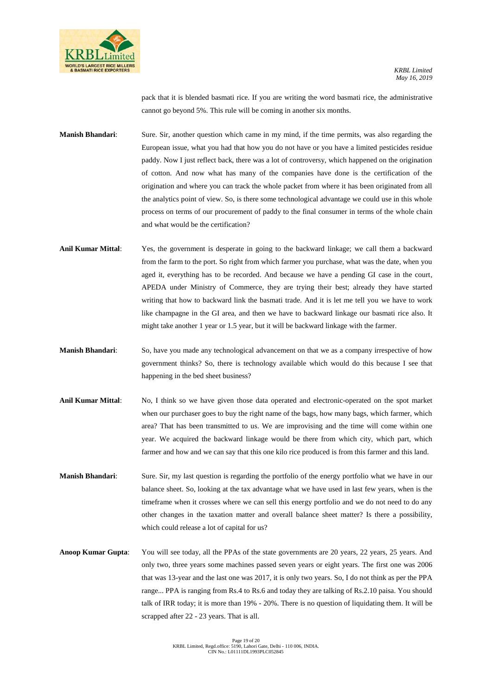

pack that it is blended basmati rice. If you are writing the word basmati rice, the administrative cannot go beyond 5%. This rule will be coming in another six months.

**Manish Bhandari**: Sure. Sir, another question which came in my mind, if the time permits, was also regarding the European issue, what you had that how you do not have or you have a limited pesticides residue paddy. Now I just reflect back, there was a lot of controversy, which happened on the origination of cotton. And now what has many of the companies have done is the certification of the origination and where you can track the whole packet from where it has been originated from all the analytics point of view. So, is there some technological advantage we could use in this whole process on terms of our procurement of paddy to the final consumer in terms of the whole chain and what would be the certification?

- **Anil Kumar Mittal**: Yes, the government is desperate in going to the backward linkage; we call them a backward from the farm to the port. So right from which farmer you purchase, what was the date, when you aged it, everything has to be recorded. And because we have a pending GI case in the court, APEDA under Ministry of Commerce, they are trying their best; already they have started writing that how to backward link the basmati trade. And it is let me tell you we have to work like champagne in the GI area, and then we have to backward linkage our basmati rice also. It might take another 1 year or 1.5 year, but it will be backward linkage with the farmer.
- **Manish Bhandari**: So, have you made any technological advancement on that we as a company irrespective of how government thinks? So, there is technology available which would do this because I see that happening in the bed sheet business?
- **Anil Kumar Mittal**: No, I think so we have given those data operated and electronic-operated on the spot market when our purchaser goes to buy the right name of the bags, how many bags, which farmer, which area? That has been transmitted to us. We are improvising and the time will come within one year. We acquired the backward linkage would be there from which city, which part, which farmer and how and we can say that this one kilo rice produced is from this farmer and this land.
- **Manish Bhandari**: Sure. Sir, my last question is regarding the portfolio of the energy portfolio what we have in our balance sheet. So, looking at the tax advantage what we have used in last few years, when is the timeframe when it crosses where we can sell this energy portfolio and we do not need to do any other changes in the taxation matter and overall balance sheet matter? Is there a possibility, which could release a lot of capital for us?
- **Anoop Kumar Gupta**: You will see today, all the PPAs of the state governments are 20 years, 22 years, 25 years. And only two, three years some machines passed seven years or eight years. The first one was 2006 that was 13-year and the last one was 2017, it is only two years. So, I do not think as per the PPA range... PPA is ranging from Rs.4 to Rs.6 and today they are talking of Rs.2.10 paisa. You should talk of IRR today; it is more than 19% - 20%. There is no question of liquidating them. It will be scrapped after 22 - 23 years. That is all.